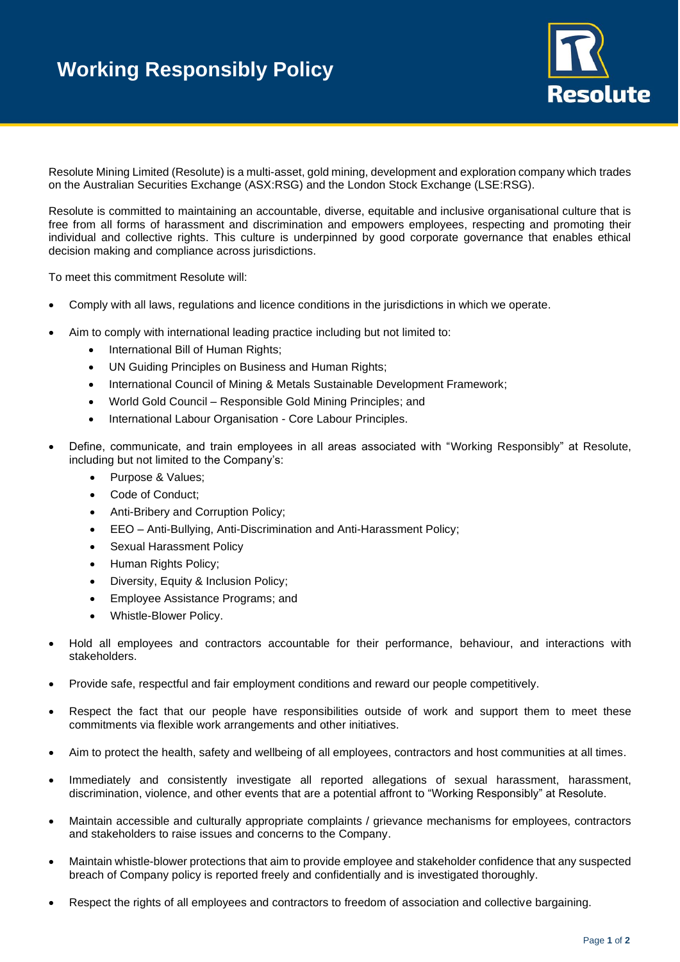

Resolute Mining Limited (Resolute) is a multi-asset, gold mining, development and exploration company which trades on the Australian Securities Exchange (ASX:RSG) and the London Stock Exchange (LSE:RSG).

Resolute is committed to maintaining an accountable, diverse, equitable and inclusive organisational culture that is free from all forms of harassment and discrimination and empowers employees, respecting and promoting their individual and collective rights. This culture is underpinned by good corporate governance that enables ethical decision making and compliance across jurisdictions.

To meet this commitment Resolute will:

- Comply with all laws, regulations and licence conditions in the jurisdictions in which we operate.
- Aim to comply with international leading practice including but not limited to:
	- International Bill of Human Rights;
	- UN Guiding Principles on Business and Human Rights;
	- International Council of Mining & Metals Sustainable Development Framework;
	- World Gold Council Responsible Gold Mining Principles; and
	- International Labour Organisation Core Labour Principles.
- Define, communicate, and train employees in all areas associated with "Working Responsibly" at Resolute, including but not limited to the Company's:
	- Purpose & Values;
	- Code of Conduct;
	- Anti-Bribery and Corruption Policy;
	- EEO Anti-Bullying, Anti-Discrimination and Anti-Harassment Policy;
	- Sexual Harassment Policy
	- Human Rights Policy;
	- Diversity, Equity & Inclusion Policy;
	- Employee Assistance Programs; and
	- Whistle-Blower Policy.
- Hold all employees and contractors accountable for their performance, behaviour, and interactions with stakeholders.
- Provide safe, respectful and fair employment conditions and reward our people competitively.
- Respect the fact that our people have responsibilities outside of work and support them to meet these commitments via flexible work arrangements and other initiatives.
- Aim to protect the health, safety and wellbeing of all employees, contractors and host communities at all times.
- Immediately and consistently investigate all reported allegations of sexual harassment, harassment, discrimination, violence, and other events that are a potential affront to "Working Responsibly" at Resolute.
- Maintain accessible and culturally appropriate complaints / grievance mechanisms for employees, contractors and stakeholders to raise issues and concerns to the Company.
- Maintain whistle-blower protections that aim to provide employee and stakeholder confidence that any suspected breach of Company policy is reported freely and confidentially and is investigated thoroughly.
- Respect the rights of all employees and contractors to freedom of association and collective bargaining.